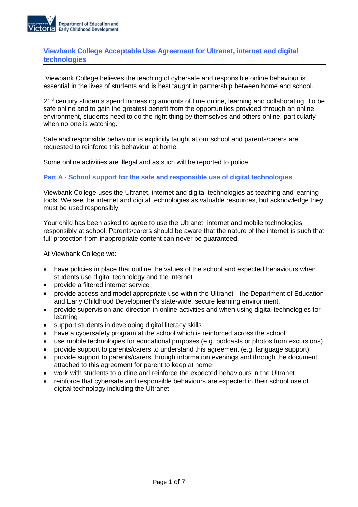

# **Viewbank College Acceptable Use Agreement for Ultranet, internet and digital technologies**

Viewbank College believes the teaching of cybersafe and responsible online behaviour is essential in the lives of students and is best taught in partnership between home and school.

21<sup>st</sup> century students spend increasing amounts of time online, learning and collaborating. To be safe online and to gain the greatest benefit from the opportunities provided through an online environment, students need to do the right thing by themselves and others online, particularly when no one is watching.

Safe and responsible behaviour is explicitly taught at our school and parents/carers are requested to reinforce this behaviour at home.

Some online activities are illegal and as such will be reported to police.

# **Part A - School support for the safe and responsible use of digital technologies**

Viewbank College uses the Ultranet, internet and digital technologies as teaching and learning tools. We see the internet and digital technologies as valuable resources, but acknowledge they must be used responsibly.

Your child has been asked to agree to use the Ultranet, internet and mobile technologies responsibly at school. Parents/carers should be aware that the nature of the internet is such that full protection from inappropriate content can never be guaranteed.

At Viewbank College we:

- have policies in place that outline the values of the school and expected behaviours when students use digital technology and the internet
- provide a filtered internet service
- provide access and model appropriate use within the Ultranet the Department of Education and Early Childhood Development's state-wide, secure learning environment.
- provide supervision and direction in online activities and when using digital technologies for learning
- support students in developing digital literacy skills
- have a cybersafety program at the school which is reinforced across the school
- use mobile technologies for educational purposes (e.g. podcasts or photos from excursions)
- provide support to parents/carers to understand this agreement (e.g. language support)
- provide support to parents/carers through information evenings and through the document attached to this agreement for parent to keep at home
- work with students to outline and reinforce the expected behaviours in the Ultranet.
- reinforce that cybersafe and responsible behaviours are expected in their school use of digital technology including the Ultranet.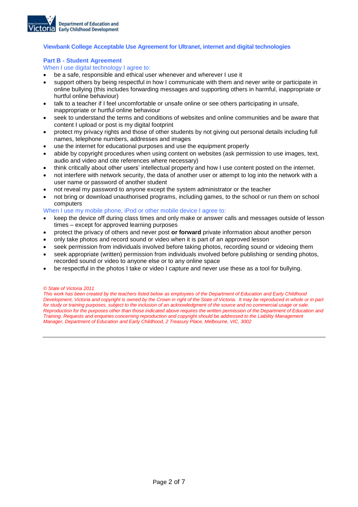

### **Viewbank College Acceptable Use Agreement for Ultranet, internet and digital technologies**

#### **Part B - Student Agreement**

When I use digital technology I agree to:

- be a safe, responsible and ethical user whenever and wherever I use it
- support others by being respectful in how I communicate with them and never write or participate in online bullying (this includes forwarding messages and supporting others in harmful, inappropriate or hurtful online behaviour)
- talk to a teacher if I feel uncomfortable or unsafe online or see others participating in unsafe, inappropriate or hurtful online behaviour
- seek to understand the terms and conditions of websites and online communities and be aware that content I upload or post is my digital footprint
- protect my privacy rights and those of other students by not giving out personal details including full names, telephone numbers, addresses and images
- use the internet for educational purposes and use the equipment properly
- abide by copyright procedures when using content on websites (ask permission to use images, text, audio and video and cite references where necessary)
- think critically about other users' intellectual property and how I use content posted on the internet.
- not interfere with network security, the data of another user or attempt to log into the network with a user name or password of another student
- not reveal my password to anyone except the system administrator or the teacher
- not bring or download unauthorised programs, including games, to the school or run them on school computers
- When I use my mobile phone, iPod or other mobile device I agree to:
- keep the device off during class times and only make or answer calls and messages outside of lesson times – except for approved learning purposes
- protect the privacy of others and never post **or forward** private information about another person
- only take photos and record sound or video when it is part of an approved lesson
- seek permission from individuals involved before taking photos, recording sound or videoing them
- seek appropriate (written) permission from individuals involved before publishing or sending photos, recorded sound or video to anyone else or to any online space
- be respectful in the photos I take or video I capture and never use these as a tool for bullying.

#### *© State of Victoria 2011*

*This work has been created by the teachers listed below as employees of the Department of Education and Early Childhood Development, Victoria and copyright is owned by the Crown in right of the State of Victoria. It may be reproduced in whole or in part for study or training purposes, subject to the inclusion of an acknowledgment of the source and no commercial usage or sale. Reproduction for the purposes other than those indicated above requires the written permission of the Department of Education and Training. Requests and enquiries concerning reproduction and copyright should be addressed to the Liability Management Manager, Department of Education and Early Childhood, 2 Treasury Place, Melbourne, VIC, 3002*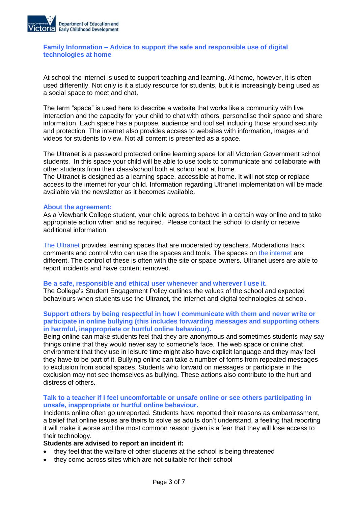

# **Family Information – Advice to support the safe and responsible use of digital technologies at home**

At school the internet is used to support teaching and learning. At home, however, it is often used differently. Not only is it a study resource for students, but it is increasingly being used as a social space to meet and chat.

The term "space" is used here to describe a website that works like a community with live interaction and the capacity for your child to chat with others, personalise their space and share information. Each space has a purpose, audience and tool set including those around security and protection. The internet also provides access to websites with information, images and videos for students to view. Not all content is presented as a space.

The Ultranet is a password protected online learning space for all Victorian Government school students. In this space your child will be able to use tools to communicate and collaborate with other students from their class/school both at school and at home.

The Ultranet is designed as a learning space, accessible at home. It will not stop or replace access to the internet for your child. Information regarding Ultranet implementation will be made available via the newsletter as it becomes available.

### **About the agreement:**

As a Viewbank College student, your child agrees to behave in a certain way online and to take appropriate action when and as required. Please contact the school to clarify or receive additional information.

The Ultranet provides learning spaces that are moderated by teachers. Moderations track comments and control who can use the spaces and tools. The spaces on the internet are different. The control of these is often with the site or space owners. Ultranet users are able to report incidents and have content removed.

### **Be a safe, responsible and ethical user whenever and wherever I use it.**

The College's Student Engagement Policy outlines the values of the school and expected behaviours when students use the Ultranet, the internet and digital technologies at school.

# **Support others by being respectful in how I communicate with them and never write or participate in online bullying (this includes forwarding messages and supporting others in harmful, inappropriate or hurtful online behaviour).**

Being online can make students feel that they are anonymous and sometimes students may say things online that they would never say to someone's face. The web space or online chat environment that they use in leisure time might also have explicit language and they may feel they have to be part of it. Bullying online can take a number of forms from repeated messages to exclusion from social spaces. Students who forward on messages or participate in the exclusion may not see themselves as bullying. These actions also contribute to the hurt and distress of others.

# **Talk to a teacher if I feel uncomfortable or unsafe online or see others participating in unsafe, inappropriate or hurtful online behaviour.**

Incidents online often go unreported. Students have reported their reasons as embarrassment, a belief that online issues are theirs to solve as adults don't understand, a feeling that reporting it will make it worse and the most common reason given is a fear that they will lose access to their technology.

### **Students are advised to report an incident if:**

- they feel that the welfare of other students at the school is being threatened
- they come across sites which are not suitable for their school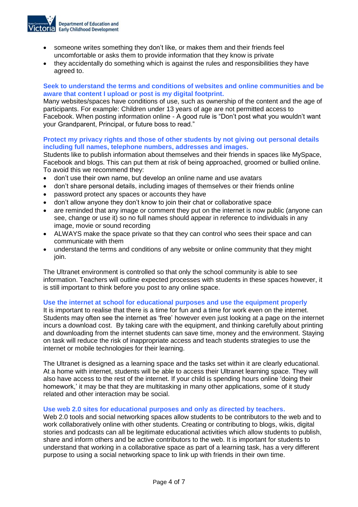

- someone writes something they don't like, or makes them and their friends feel uncomfortable or asks them to provide information that they know is private
- they accidentally do something which is against the rules and responsibilities they have agreed to.

# **Seek to understand the terms and conditions of websites and online communities and be aware that content I upload or post is my digital footprint.**

Many websites/spaces have conditions of use, such as ownership of the content and the age of participants. For example: Children under 13 years of age are not permitted access to Facebook. When posting information online - A good rule is "Don't post what you wouldn't want your Grandparent, Principal, or future boss to read."

# **Protect my privacy rights and those of other students by not giving out personal details including full names, telephone numbers, addresses and images.**

Students like to publish information about themselves and their friends in spaces like MySpace, Facebook and blogs. This can put them at risk of being approached, groomed or bullied online. To avoid this we recommend they:

- don't use their own name, but develop an online name and use avatars
- don't share personal details, including images of themselves or their friends online
- password protect any spaces or accounts they have
- don't allow anyone they don't know to join their chat or collaborative space
- are reminded that any image or comment they put on the internet is now public (anyone can see, change or use it) so no full names should appear in reference to individuals in any image, movie or sound recording
- ALWAYS make the space private so that they can control who sees their space and can communicate with them
- understand the terms and conditions of any website or online community that they might ioin.

The Ultranet environment is controlled so that only the school community is able to see information. Teachers will outline expected processes with students in these spaces however, it is still important to think before you post to any online space.

### **Use the internet at school for educational purposes and use the equipment properly**

It is important to realise that there is a time for fun and a time for work even on the internet. Students may often see the internet as 'free' however even just looking at a page on the internet incurs a download cost. By taking care with the equipment, and thinking carefully about printing and downloading from the internet students can save time, money and the environment. Staying on task will reduce the risk of inappropriate access and teach students strategies to use the internet or mobile technologies for their learning.

The Ultranet is designed as a learning space and the tasks set within it are clearly educational. At a home with internet, students will be able to access their Ultranet learning space. They will also have access to the rest of the internet. If your child is spending hours online 'doing their homework,' it may be that they are multitasking in many other applications, some of it study related and other interaction may be social.

### **Use web 2.0 sites for educational purposes and only as directed by teachers.**

Web 2.0 tools and social networking spaces allow students to be contributors to the web and to work collaboratively online with other students. Creating or contributing to blogs, wikis, digital stories and podcasts can all be legitimate educational activities which allow students to publish, share and inform others and be active contributors to the web. It is important for students to understand that working in a collaborative space as part of a learning task, has a very different purpose to using a social networking space to link up with friends in their own time.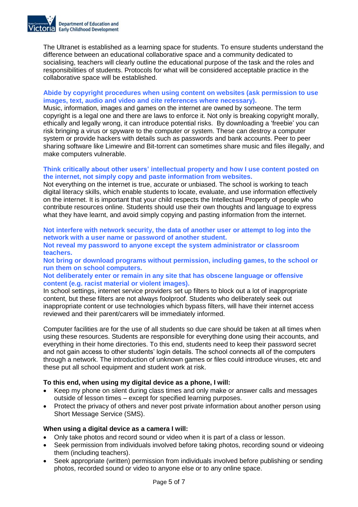

The Ultranet is established as a learning space for students. To ensure students understand the difference between an educational collaborative space and a community dedicated to socialising, teachers will clearly outline the educational purpose of the task and the roles and responsibilities of students. Protocols for what will be considered acceptable practice in the collaborative space will be established.

# **Abide by copyright procedures when using content on websites (ask permission to use images, text, audio and video and cite references where necessary).**

Music, information, images and games on the internet are owned by someone. The term copyright is a legal one and there are laws to enforce it. Not only is breaking copyright morally, ethically and legally wrong, it can introduce potential risks. By downloading a 'freebie' you can risk bringing a virus or spyware to the computer or system. These can destroy a computer system or provide hackers with details such as passwords and bank accounts. Peer to peer sharing software like Limewire and Bit-torrent can sometimes share music and files illegally, and make computers vulnerable.

# **Think critically about other users' intellectual property and how I use content posted on the internet, not simply copy and paste information from websites.**

Not everything on the internet is true, accurate or unbiased. The school is working to teach digital literacy skills, which enable students to locate, evaluate, and use information effectively on the internet. It is important that your child respects the Intellectual Property of people who contribute resources online. Students should use their own thoughts and language to express what they have learnt, and avoid simply copying and pasting information from the internet.

**Not interfere with network security, the data of another user or attempt to log into the network with a user name or password of another student.**

**Not reveal my password to anyone except the system administrator or classroom teachers.**

**Not bring or download programs without permission, including games, to the school or run them on school computers.**

**Not deliberately enter or remain in any site that has obscene language or offensive content (e.g. racist material or violent images).**

In school settings, internet service providers set up filters to block out a lot of inappropriate content, but these filters are not always foolproof. Students who deliberately seek out inappropriate content or use technologies which bypass filters, will have their internet access reviewed and their parent/carers will be immediately informed.

Computer facilities are for the use of all students so due care should be taken at all times when using these resources. Students are responsible for everything done using their accounts, and everything in their home directories. To this end, students need to keep their password secret and not gain access to other students' login details. The school connects all of the computers through a network. The introduction of unknown games or files could introduce viruses, etc and these put all school equipment and student work at risk.

# **To this end, when using my digital device as a phone, I will:**

- Keep my phone on silent during class times and only make or answer calls and messages outside of lesson times – except for specified learning purposes.
- Protect the privacy of others and never post private information about another person using Short Message Service (SMS).

### **When using a digital device as a camera I will:**

- Only take photos and record sound or video when it is part of a class or lesson.
- Seek permission from individuals involved before taking photos, recording sound or videoing them (including teachers).
- Seek appropriate (written) permission from individuals involved before publishing or sending photos, recorded sound or video to anyone else or to any online space.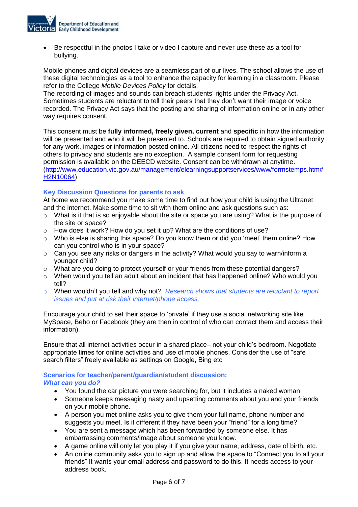

 Be respectful in the photos I take or video I capture and never use these as a tool for bullying.

Mobile phones and digital devices are a seamless part of our lives. The school allows the use of these digital technologies as a tool to enhance the capacity for learning in a classroom. Please refer to the College *Mobile Devices Policy* for details.

The recording of images and sounds can breach students' rights under the Privacy Act. Sometimes students are reluctant to tell their peers that they don't want their image or voice recorded. The Privacy Act says that the posting and sharing of information online or in any other way requires consent.

This consent must be **fully informed, freely given, current** and **specific** in how the information will be presented and who it will be presented to. Schools are required to obtain signed authority for any work, images or information posted online. All citizens need to respect the rights of others to privacy and students are no exception. A sample consent form for requesting permission is available on the DEECD website. Consent can be withdrawn at anytime. [\(http://www.education.vic.gov.au/management/elearningsupportservices/www/formstemps.htm#](http://www.education.vic.gov.au/management/elearningsupportservices/www/formstemps.htm#H2N10064) [H2N10064\)](http://www.education.vic.gov.au/management/elearningsupportservices/www/formstemps.htm#H2N10064)

# **Key Discussion Questions for parents to ask**

At home we recommend you make some time to find out how your child is using the Ultranet and the internet. Make some time to sit with them online and ask questions such as:

- $\circ$  What is it that is so enjoyable about the site or space you are using? What is the purpose of the site or space?
- o How does it work? How do you set it up? What are the conditions of use?
- $\circ$  Who is else is sharing this space? Do you know them or did you 'meet' them online? How can you control who is in your space?
- o Can you see any risks or dangers in the activity? What would you say to warn/inform a younger child?
- o What are you doing to protect yourself or your friends from these potential dangers?
- o When would you tell an adult about an incident that has happened online? Who would you tell?
- o When wouldn't you tell and why not? *Research shows that students are reluctant to report issues and put at risk their internet/phone access.*

Encourage your child to set their space to 'private' if they use a social networking site like MySpace, Bebo or Facebook (they are then in control of who can contact them and access their information).

Ensure that all internet activities occur in a shared place– not your child's bedroom. Negotiate appropriate times for online activities and use of mobile phones. Consider the use of "safe search filters" freely available as settings on Google, Bing etc

### **Scenarios for teacher/parent/guardian/student discussion:**  *What can you do?*

- You found the car picture you were searching for, but it includes a naked woman!
- Someone keeps messaging nasty and upsetting comments about you and your friends on your mobile phone.
- A person you met online asks you to give them your full name, phone number and suggests you meet. Is it different if they have been your "friend" for a long time?
- You are sent a message which has been forwarded by someone else. It has embarrassing comments/image about someone you know.
- A game online will only let you play it if you give your name, address, date of birth, etc.
- An online community asks you to sign up and allow the space to "Connect you to all your friends" It wants your email address and password to do this. It needs access to your address book.